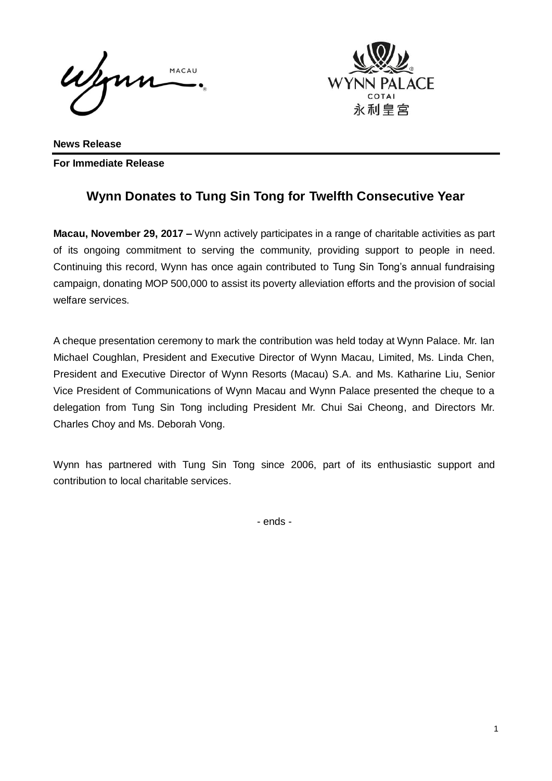Wynn MACAU



**News Release For Immediate Release** 

# **Wynn Donates to Tung Sin Tong for Twelfth Consecutive Year**

**Macau, November 29, 2017 –** Wynn actively participates in a range of charitable activities as part of its ongoing commitment to serving the community, providing support to people in need. Continuing this record, Wynn has once again contributed to Tung Sin Tong's annual fundraising campaign, donating MOP 500,000 to assist its poverty alleviation efforts and the provision of social welfare services.

A cheque presentation ceremony to mark the contribution was held today at Wynn Palace. Mr. Ian Michael Coughlan, President and Executive Director of Wynn Macau, Limited, Ms. Linda Chen, President and Executive Director of Wynn Resorts (Macau) S.A. and Ms. Katharine Liu, Senior Vice President of Communications of Wynn Macau and Wynn Palace presented the cheque to a delegation from Tung Sin Tong including President Mr. Chui Sai Cheong, and Directors Mr. Charles Choy and Ms. Deborah Vong.

Wynn has partnered with Tung Sin Tong since 2006, part of its enthusiastic support and contribution to local charitable services.

- ends -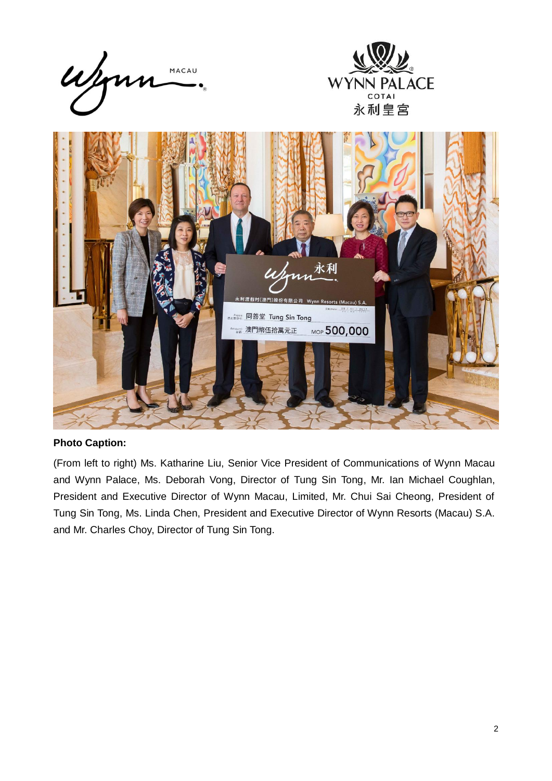





### **Photo Caption:**

(From left to right) Ms. Katharine Liu, Senior Vice President of Communications of Wynn Macau and Wynn Palace, Ms. Deborah Vong, Director of Tung Sin Tong, Mr. Ian Michael Coughlan, President and Executive Director of Wynn Macau, Limited, Mr. Chui Sai Cheong, President of Tung Sin Tong, Ms. Linda Chen, President and Executive Director of Wynn Resorts (Macau) S.A. and Mr. Charles Choy, Director of Tung Sin Tong.